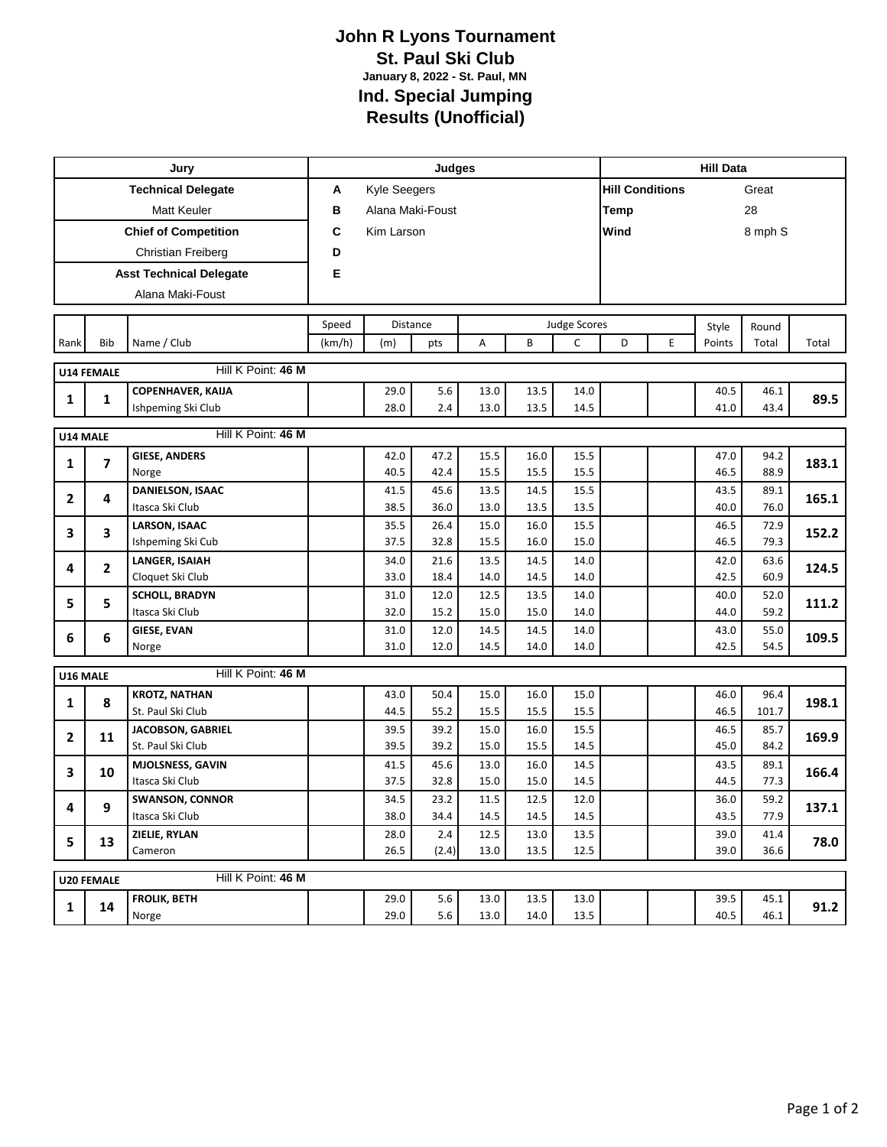## **John R Lyons Tournament St. Paul Ski Club January 8, 2022 - St. Paul, MN Ind. Special Jumping Results (Unofficial)**

|                                         |              | Jury                                      | Judges                |              |              |              |                     |              |                        | <b>Hill Data</b> |              |              |       |  |  |
|-----------------------------------------|--------------|-------------------------------------------|-----------------------|--------------|--------------|--------------|---------------------|--------------|------------------------|------------------|--------------|--------------|-------|--|--|
| <b>Technical Delegate</b>               |              |                                           | Α                     | Kyle Seegers |              |              |                     |              | <b>Hill Conditions</b> |                  |              | Great        |       |  |  |
| <b>Matt Keuler</b>                      |              |                                           | в<br>Alana Maki-Foust |              |              |              |                     |              | 28<br>Temp             |                  |              |              |       |  |  |
| <b>Chief of Competition</b>             |              |                                           | C<br>Kim Larson       |              |              |              |                     |              | Wind<br>8 mph S        |                  |              |              |       |  |  |
| Christian Freiberg                      |              |                                           | D                     |              |              |              |                     |              |                        |                  |              |              |       |  |  |
| <b>Asst Technical Delegate</b>          |              |                                           | Е                     |              |              |              |                     |              |                        |                  |              |              |       |  |  |
| Alana Maki-Foust                        |              |                                           |                       |              |              |              |                     |              |                        |                  |              |              |       |  |  |
|                                         |              |                                           |                       |              |              |              |                     |              |                        |                  |              |              |       |  |  |
|                                         | Bib          | Name / Club                               | Speed                 |              | Distance     |              | <b>Judge Scores</b> |              |                        | Style            | Round        |              |       |  |  |
| Rank                                    |              |                                           | (km/h)                | (m)          | pts          | A            | B                   | C            | D                      | E                | Points       | Total        | Total |  |  |
| Hill K Point: 46 M<br><b>U14 FEMALE</b> |              |                                           |                       |              |              |              |                     |              |                        |                  |              |              |       |  |  |
| 1                                       | 1            | COPENHAVER, KAIJA                         |                       | 29.0         | 5.6          | 13.0         | 13.5                | 14.0         |                        |                  | 40.5         | 46.1         | 89.5  |  |  |
|                                         |              | Ishpeming Ski Club                        |                       | 28.0         | 2.4          | 13.0         | 13.5                | 14.5         |                        |                  | 41.0         | 43.4         |       |  |  |
| Hill K Point: 46 M<br>U14 MALE          |              |                                           |                       |              |              |              |                     |              |                        |                  |              |              |       |  |  |
| 1                                       | 7            | <b>GIESE, ANDERS</b>                      |                       | 42.0         | 47.2         | 15.5         | 16.0                | 15.5         |                        |                  | 47.0         | 94.2         | 183.1 |  |  |
|                                         |              | Norge                                     |                       | 40.5         | 42.4         | 15.5         | 15.5                | 15.5         |                        |                  | 46.5         | 88.9         |       |  |  |
| $\mathbf{2}$                            | 4            | DANIELSON, ISAAC                          |                       | 41.5         | 45.6         | 13.5         | 14.5                | 15.5         |                        |                  | 43.5         | 89.1         | 165.1 |  |  |
|                                         |              | Itasca Ski Club                           |                       | 38.5         | 36.0         | 13.0         | 13.5                | 13.5         |                        |                  | 40.0         | 76.0         |       |  |  |
| 3                                       | 3            | <b>LARSON, ISAAC</b><br>Ishpeming Ski Cub |                       | 35.5<br>37.5 | 26.4<br>32.8 | 15.0<br>15.5 | 16.0<br>16.0        | 15.5<br>15.0 |                        |                  | 46.5<br>46.5 | 72.9<br>79.3 | 152.2 |  |  |
|                                         |              | <b>LANGER, ISAIAH</b>                     |                       | 34.0         | 21.6         | 13.5         | 14.5                | 14.0         |                        |                  | 42.0         | 63.6         |       |  |  |
| 4                                       | $\mathbf{2}$ | Cloquet Ski Club                          |                       | 33.0         | 18.4         | 14.0         | 14.5                | 14.0         |                        |                  | 42.5         | 60.9         | 124.5 |  |  |
| 5                                       | 5            | <b>SCHOLL, BRADYN</b>                     |                       | 31.0         | 12.0         | 12.5         | 13.5                | 14.0         |                        |                  | 40.0         | 52.0         | 111.2 |  |  |
|                                         |              | Itasca Ski Club                           |                       | 32.0         | 15.2         | 15.0         | 15.0                | 14.0         |                        |                  | 44.0         | 59.2         |       |  |  |
| 6                                       | 6            | <b>GIESE, EVAN</b>                        |                       | 31.0         | 12.0         | 14.5         | 14.5                | 14.0         |                        |                  | 43.0         | 55.0         | 109.5 |  |  |
|                                         |              | Norge                                     |                       | 31.0         | 12.0         | 14.5         | 14.0                | 14.0         |                        |                  | 42.5         | 54.5         |       |  |  |
| U16 MALE                                |              | Hill K Point: 46 M                        |                       |              |              |              |                     |              |                        |                  |              |              |       |  |  |
| 1                                       | 8            | <b>KROTZ, NATHAN</b>                      |                       | 43.0         | 50.4         | 15.0         | 16.0                | 15.0         |                        |                  | 46.0         | 96.4         | 198.1 |  |  |
|                                         |              | St. Paul Ski Club                         |                       | 44.5         | 55.2         | 15.5         | 15.5                | 15.5         |                        |                  | 46.5         | 101.7        |       |  |  |
| 2                                       | 11           | JACOBSON, GABRIEL                         |                       | 39.5         | 39.2         | 15.0         | 16.0                | 15.5         |                        |                  | 46.5         | 85.7         | 169.9 |  |  |
|                                         |              | St. Paul Ski Club                         |                       | 39.5         | 39.2         | 15.0         | 15.5                | 14.5         |                        |                  | 45.0         | 84.2         |       |  |  |
| 3                                       | 10           | MJOLSNESS, GAVIN<br>Itasca Ski Club       |                       | 41.5<br>37.5 | 45.6<br>32.8 | 13.0<br>15.0 | 16.0<br>15.0        | 14.5<br>14.5 |                        |                  | 43.5<br>44.5 | 89.1<br>77.3 | 166.4 |  |  |
|                                         |              | <b>SWANSON, CONNOR</b>                    |                       | 34.5         | 23.2         | 11.5         | 12.5                | 12.0         |                        |                  | 36.0         | 59.2         |       |  |  |
| 4                                       | 9            | Itasca Ski Club                           |                       | 38.0         | 34.4         | 14.5         | 14.5                | 14.5         |                        |                  | 43.5         | 77.9         | 137.1 |  |  |
| 5                                       | 13           | ZIELIE, RYLAN                             |                       | 28.0         | 2.4          | 12.5         | 13.0                | 13.5         |                        |                  | 39.0         | 41.4         | 78.0  |  |  |
|                                         |              | Cameron                                   |                       | 26.5         | (2.4)        | 13.0         | 13.5                | 12.5         |                        |                  | 39.0         | 36.6         |       |  |  |
| Hill K Point: 46 M<br><b>U20 FEMALE</b> |              |                                           |                       |              |              |              |                     |              |                        |                  |              |              |       |  |  |
|                                         |              | <b>FROLIK, BETH</b>                       |                       | 29.0         | $5.6\,$      | 13.0         | 13.5                | 13.0         |                        |                  | 39.5         | 45.1         |       |  |  |
| $\mathbf{1}$                            | 14           | Norge                                     |                       | 29.0         | 5.6          | 13.0         | 14.0                | 13.5         |                        |                  | 40.5         | 46.1         | 91.2  |  |  |
|                                         |              |                                           |                       |              |              |              |                     |              |                        |                  |              |              |       |  |  |